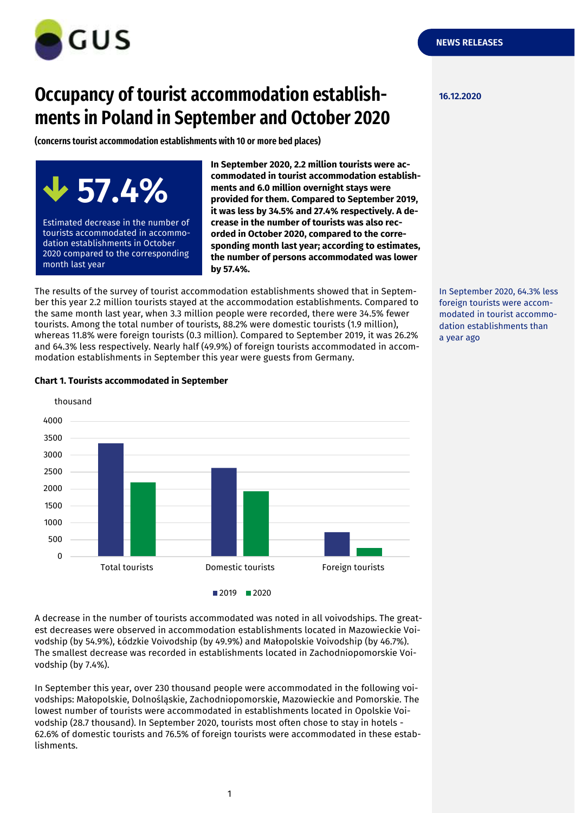

# **Occupancy of tourist accommodation establish- 16.12.2020 ments in Poland in September and October 2020**

**(concerns tourist accommodation establishments with 10 or more bed places)**



**In September 2020, 2.2 million tourists were accommodated in tourist accommodation establishments and 6.0 million overnight stays were provided for them. Compared to September 2019, it was less by 34.5% and 27.4% respectively. A decrease in the number of tourists was also recorded in October 2020, compared to the corresponding month last year; according to estimates, the number of persons accommodated was lower by 57.4%.**

The results of the survey of tourist accommodation establishments showed that in September this year 2.2 million tourists stayed at the accommodation establishments. Compared to the same month last year, when 3.3 million people were recorded, there were 34.5% fewer tourists. Among the total number of tourists, 88.2% were domestic tourists (1.9 million), whereas 11.8% were foreign tourists (0.3 million). Compared to September 2019, it was 26.2% and 64.3% less respectively. Nearly half (49.9%) of foreign tourists accommodated in accommodation establishments in September this year were guests from Germany.

In September 2020, 64.3% less foreign tourists were accommodated in tourist accommodation establishments than a year ago

## $\Omega$ 500 1000 1500 2000 2500 3000 3500 4000 Total tourists Domestic tourists Foreign tourists thousand

#### **Chart 1. Tourists accommodated in September**

A decrease in the number of tourists accommodated was noted in all voivodships. The greatest decreases were observed in accommodation establishments located in Mazowieckie Voivodship (by 54.9%), Łódzkie Voivodship (by 49.9%) and Małopolskie Voivodship (by 46.7%). The smallest decrease was recorded in establishments located in Zachodniopomorskie Voivodship (by 7.4%).

 $2019$  2020

In September this year, over 230 thousand people were accommodated in the following voivodships: Małopolskie, Dolnośląskie, Zachodniopomorskie, Mazowieckie and Pomorskie. The lowest number of tourists were accommodated in establishments located in Opolskie Voivodship (28.7 thousand). In September 2020, tourists most often chose to stay in hotels - 62.6% of domestic tourists and 76.5% of foreign tourists were accommodated in these establishments.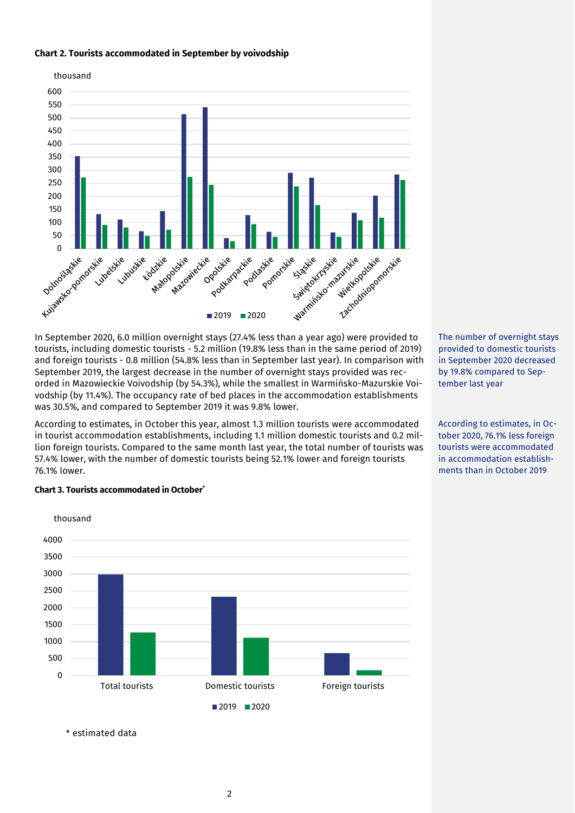#### **Chart 2. Tourists accommodated in September by voivodship**



In September 2020, 6.0 million overnight stays (27.4% less than a year ago) were provided to tourists, including domestic tourists - 5.2 million (19.8% less than in the same period of 2019) and foreign tourists - 0.8 million (54.8% less than in September last year). In comparison with September 2019, the largest decrease in the number of overnight stays provided was recorded in Mazowieckie Voivodship (by 54.3%), while the smallest in Warmińsko-Mazurskie Voivodship (by 11.4%). The occupancy rate of bed places in the accommodation establishments was 30.5%, and compared to September 2019 it was 9.8% lower.

According to estimates, in October this year, almost 1.3 million tourists were accommodated in tourist accommodation establishments, including 1.1 million domestic tourists and 0.2 million foreign tourists. Compared to the same month last year, the total number of tourists was 57.4% lower, with the number of domestic tourists being 52.1% lower and foreign tourists 76.1% lower.

The number of overnight stays provided to domestic tourists in September 2020 decreased by 19.8% compared to September last year

According to estimates, in October 2020, 76.1% less foreign tourists were accommodated in accommodation establishments than in October 2019



#### **Chart 3. Tourists accommodated in October\***

\* estimated data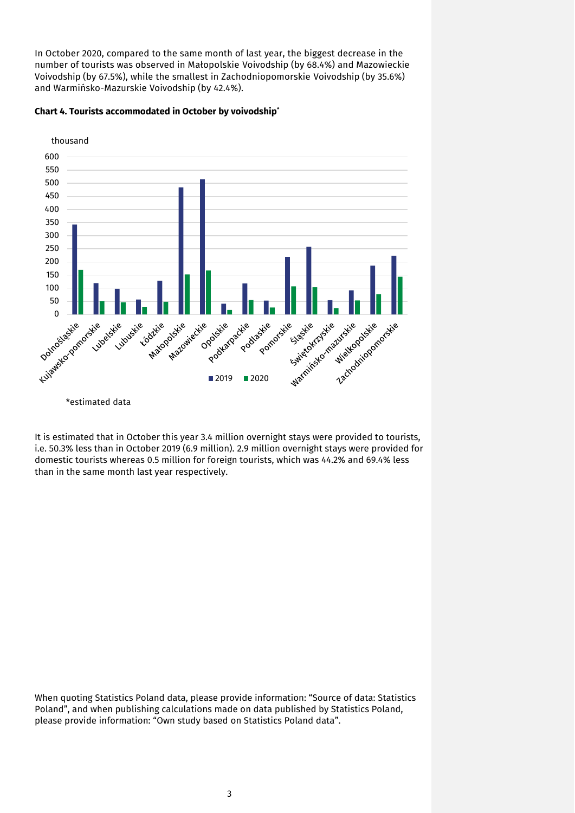In October 2020, compared to the same month of last year, the biggest decrease in the number of tourists was observed in Małopolskie Voivodship (by 68.4%) and Mazowieckie Voivodship (by 67.5%), while the smallest in Zachodniopomorskie Voivodship (by 35.6%) and Warmińsko-Mazurskie Voivodship (by 42.4%).



#### **Chart 4. Tourists accommodated in October by voivodship\***

It is estimated that in October this year 3.4 million overnight stays were provided to tourists, i.e. 50.3% less than in October 2019 (6.9 million). 2.9 million overnight stays were provided for domestic tourists whereas 0.5 million for foreign tourists, which was 44.2% and 69.4% less than in the same month last year respectively.

When quoting Statistics Poland data, please provide information: "Source of data: Statistics Poland", and when publishing calculations made on data published by Statistics Poland, please provide information: "Own study based on Statistics Poland data".